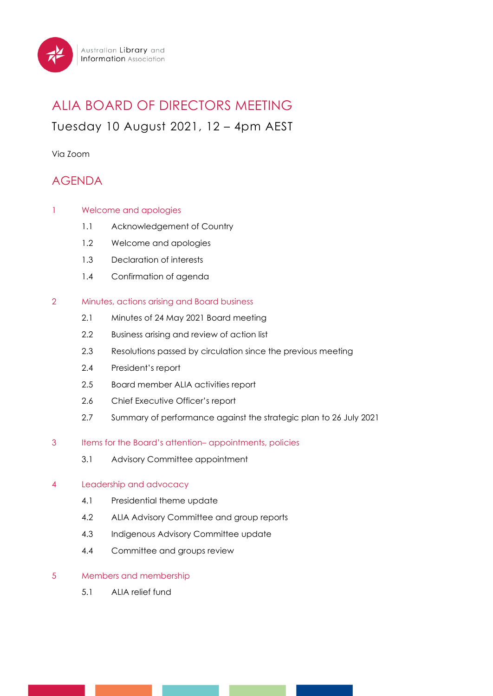

# ALIA BOARD OF DIRECTORS MEETING Tuesday 10 August 2021, 12 – 4pm AEST

Via Zoom

# AGENDA

- 1 Welcome and apologies
	- 1.1 Acknowledgement of Country
	- 1.2 Welcome and apologies
	- 1.3 Declaration of interests
	- 1.4 Confirmation of agenda

## 2 Minutes, actions arising and Board business

- 2.1 Minutes of 24 May 2021 Board meeting
- 2.2 Business arising and review of action list
- 2.3 Resolutions passed by circulation since the previous meeting
- 2.4 President's report
- 2.5 Board member ALIA activities report
- 2.6 Chief Executive Officer's report
- 2.7 Summary of performance against the strategic plan to 26 July 2021
- 3 Items for the Board's attention– appointments, policies
	- 3.1 Advisory Committee appointment

#### 4 Leadership and advocacy

- 4.1 Presidential theme update
- 4.2 ALIA Advisory Committee and group reports
- 4.3 Indigenous Advisory Committee update
- 4.4 Committee and groups review

#### 5 Members and membership

5.1 ALIA relief fund